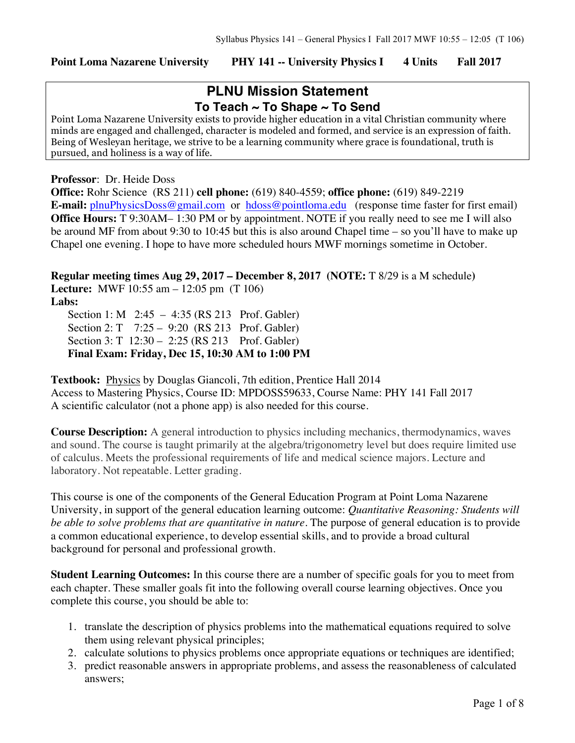### **Point Loma Nazarene University PHY 141 -- University Physics I 4 Units Fall 2017**

# **PLNU Mission Statement To Teach ~ To Shape ~ To Send**

Point Loma Nazarene University exists to provide higher education in a vital Christian community where minds are engaged and challenged, character is modeled and formed, and service is an expression of faith. Being of Wesleyan heritage, we strive to be a learning community where grace is foundational, truth is pursued, and holiness is a way of life.

#### **Professor**: Dr. Heide Doss

**Office:** Rohr Science (RS 211) **cell phone:** (619) 840-4559; **office phone:** (619) 849-2219 **E-mail:** plnuPhysicsDoss@gmail.com or hdoss@pointloma.edu (response time faster for first email) **Office Hours:** T 9:30AM–1:30 PM or by appointment. NOTE if you really need to see me I will also be around MF from about 9:30 to 10:45 but this is also around Chapel time – so you'll have to make up Chapel one evening. I hope to have more scheduled hours MWF mornings sometime in October.

**Regular meeting times Aug 29, 2017 – December 8, 2017 (NOTE:** T 8/29 is a M schedule**) Lecture:** MWF 10:55 am – 12:05 pm (T 106) **Labs:**

Section 1: M 2:45 – 4:35 (RS 213 Prof. Gabler) Section 2: T 7:25 – 9:20 (RS 213 Prof. Gabler) Section 3: T 12:30 – 2:25 (RS 213 Prof. Gabler) **Final Exam: Friday, Dec 15, 10:30 AM to 1:00 PM** 

**Textbook:** Physics by Douglas Giancoli, 7th edition, Prentice Hall 2014 Access to Mastering Physics, Course ID: MPDOSS59633, Course Name: PHY 141 Fall 2017 A scientific calculator (not a phone app) is also needed for this course.

**Course Description:** A general introduction to physics including mechanics, thermodynamics, waves and sound. The course is taught primarily at the algebra/trigonometry level but does require limited use of calculus. Meets the professional requirements of life and medical science majors. Lecture and laboratory. Not repeatable. Letter grading.

This course is one of the components of the General Education Program at Point Loma Nazarene University, in support of the general education learning outcome: *Quantitative Reasoning: Students will be able to solve problems that are quantitative in nature*. The purpose of general education is to provide a common educational experience, to develop essential skills, and to provide a broad cultural background for personal and professional growth.

**Student Learning Outcomes:** In this course there are a number of specific goals for you to meet from each chapter. These smaller goals fit into the following overall course learning objectives. Once you complete this course, you should be able to:

- 1. translate the description of physics problems into the mathematical equations required to solve them using relevant physical principles;
- 2. calculate solutions to physics problems once appropriate equations or techniques are identified;
- 3. predict reasonable answers in appropriate problems, and assess the reasonableness of calculated answers;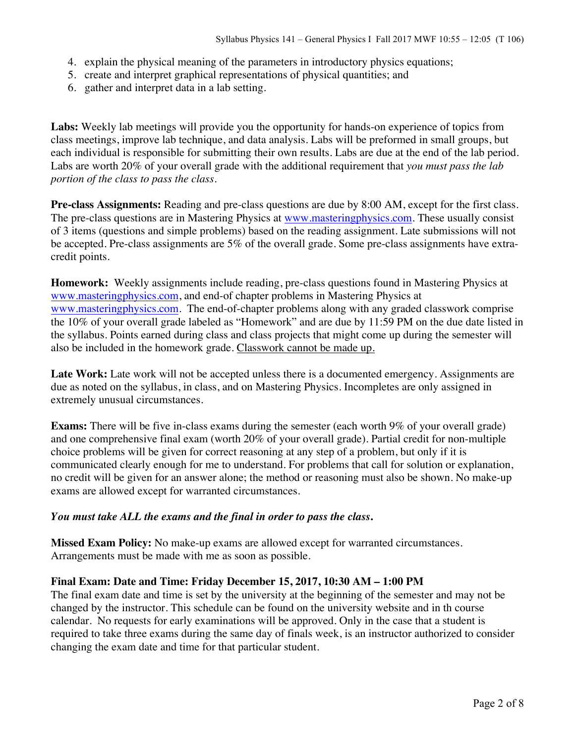- 4. explain the physical meaning of the parameters in introductory physics equations;
- 5. create and interpret graphical representations of physical quantities; and
- 6. gather and interpret data in a lab setting.

**Labs:** Weekly lab meetings will provide you the opportunity for hands-on experience of topics from class meetings, improve lab technique, and data analysis. Labs will be preformed in small groups, but each individual is responsible for submitting their own results. Labs are due at the end of the lab period. Labs are worth 20% of your overall grade with the additional requirement that *you must pass the lab portion of the class to pass the class*.

**Pre-class Assignments:** Reading and pre-class questions are due by 8:00 AM, except for the first class. The pre-class questions are in Mastering Physics at www.masteringphysics.com. These usually consist of 3 items (questions and simple problems) based on the reading assignment. Late submissions will not be accepted. Pre-class assignments are 5% of the overall grade. Some pre-class assignments have extracredit points.

**Homework:** Weekly assignments include reading, pre-class questions found in Mastering Physics at www.masteringphysics.com, and end-of chapter problems in Mastering Physics at www.masteringphysics.com. The end-of-chapter problems along with any graded classwork comprise the 10% of your overall grade labeled as "Homework" and are due by 11:59 PM on the due date listed in the syllabus. Points earned during class and class projects that might come up during the semester will also be included in the homework grade. Classwork cannot be made up.

Late Work: Late work will not be accepted unless there is a documented emergency. Assignments are due as noted on the syllabus, in class, and on Mastering Physics. Incompletes are only assigned in extremely unusual circumstances.

**Exams:** There will be five in-class exams during the semester (each worth 9% of your overall grade) and one comprehensive final exam (worth 20% of your overall grade). Partial credit for non-multiple choice problems will be given for correct reasoning at any step of a problem, but only if it is communicated clearly enough for me to understand. For problems that call for solution or explanation, no credit will be given for an answer alone; the method or reasoning must also be shown. No make-up exams are allowed except for warranted circumstances.

### *You must take ALL the exams and the final in order to pass the class***.**

**Missed Exam Policy:** No make-up exams are allowed except for warranted circumstances. Arrangements must be made with me as soon as possible.

### **Final Exam: Date and Time: Friday December 15, 2017, 10:30 AM – 1:00 PM**

The final exam date and time is set by the university at the beginning of the semester and may not be changed by the instructor. This schedule can be found on the university website and in th course calendar. No requests for early examinations will be approved. Only in the case that a student is required to take three exams during the same day of finals week, is an instructor authorized to consider changing the exam date and time for that particular student.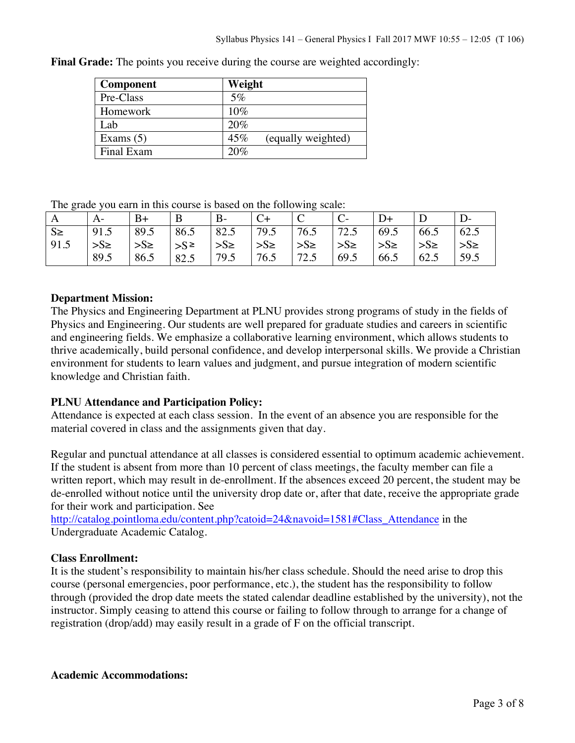| <b>Component</b> | Weight                    |
|------------------|---------------------------|
| Pre-Class        | $5\%$                     |
| Homework         | 10%                       |
| Lab.             | 20%                       |
| Exams $(5)$      | 45%<br>(equally weighted) |
| Final Exam       | 20%                       |

**Final Grade:** The points you receive during the course are weighted accordingly:

The grade you earn in this course is based on the following scale:

|         | A-       | $B+$     | B          | $B-$                  |                  |          |                 |                       |          |          |
|---------|----------|----------|------------|-----------------------|------------------|----------|-----------------|-----------------------|----------|----------|
| $S \ge$ | 91.5     | 89.5     | 86.5       | 82.5                  | 79.5             | 76.5     | 72.5            | 69.5                  | 66.5     | 62.5     |
| 91.5    | $>S\geq$ | $>S\geq$ | $ S^{\ge}$ | $\rightarrow$ S $\ge$ | $\frac{1}{5}$ >S | $>S\geq$ | $\Rightarrow$ S | $\rightarrow$ S $\ge$ | $>S\geq$ | $>S\geq$ |
|         | 89.5     | 86.5     | 82.5       | 79.5                  | 76.5             | 72.5     | 69.5            | 66.5                  | 62.5     | 59.5     |

### **Department Mission:**

The Physics and Engineering Department at PLNU provides strong programs of study in the fields of Physics and Engineering. Our students are well prepared for graduate studies and careers in scientific and engineering fields. We emphasize a collaborative learning environment, which allows students to thrive academically, build personal confidence, and develop interpersonal skills. We provide a Christian environment for students to learn values and judgment, and pursue integration of modern scientific knowledge and Christian faith.

## **PLNU Attendance and Participation Policy:**

Attendance is expected at each class session. In the event of an absence you are responsible for the material covered in class and the assignments given that day.

Regular and punctual attendance at all classes is considered essential to optimum academic achievement. If the student is absent from more than 10 percent of class meetings, the faculty member can file a written report, which may result in de-enrollment. If the absences exceed 20 percent, the student may be de-enrolled without notice until the university drop date or, after that date, receive the appropriate grade for their work and participation. See

http://catalog.pointloma.edu/content.php?catoid=24&navoid=1581#Class\_Attendance in the Undergraduate Academic Catalog.

### **Class Enrollment:**

It is the student's responsibility to maintain his/her class schedule. Should the need arise to drop this course (personal emergencies, poor performance, etc.), the student has the responsibility to follow through (provided the drop date meets the stated calendar deadline established by the university), not the instructor. Simply ceasing to attend this course or failing to follow through to arrange for a change of registration (drop/add) may easily result in a grade of F on the official transcript.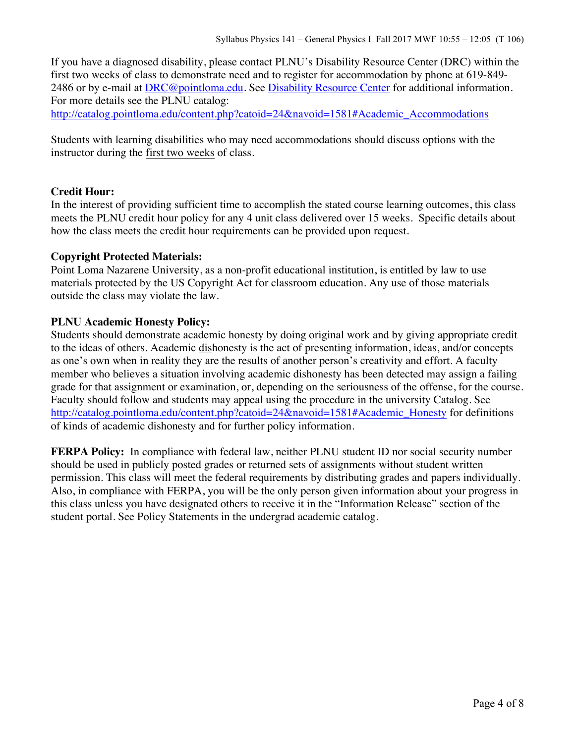If you have a diagnosed disability, please contact PLNU's Disability Resource Center (DRC) within the first two weeks of class to demonstrate need and to register for accommodation by phone at 619-849- 2486 or by e-mail at **DRC@pointloma.edu.** See **Disability Resource Center** for additional information. For more details see the PLNU catalog:

http://catalog.pointloma.edu/content.php?catoid=24&navoid=1581#Academic\_Accommodations

Students with learning disabilities who may need accommodations should discuss options with the instructor during the first two weeks of class.

### **Credit Hour:**

In the interest of providing sufficient time to accomplish the stated course learning outcomes, this class meets the PLNU credit hour policy for any 4 unit class delivered over 15 weeks. Specific details about how the class meets the credit hour requirements can be provided upon request.

### **Copyright Protected Materials:**

Point Loma Nazarene University, as a non-profit educational institution, is entitled by law to use materials protected by the US Copyright Act for classroom education. Any use of those materials outside the class may violate the law.

### **PLNU Academic Honesty Policy:**

Students should demonstrate academic honesty by doing original work and by giving appropriate credit to the ideas of others. Academic dishonesty is the act of presenting information, ideas, and/or concepts as one's own when in reality they are the results of another person's creativity and effort. A faculty member who believes a situation involving academic dishonesty has been detected may assign a failing grade for that assignment or examination, or, depending on the seriousness of the offense, for the course. Faculty should follow and students may appeal using the procedure in the university Catalog. See http://catalog.pointloma.edu/content.php?catoid=24&navoid=1581#Academic\_Honesty for definitions of kinds of academic dishonesty and for further policy information.

**FERPA Policy:** In compliance with federal law, neither PLNU student ID nor social security number should be used in publicly posted grades or returned sets of assignments without student written permission. This class will meet the federal requirements by distributing grades and papers individually. Also, in compliance with FERPA, you will be the only person given information about your progress in this class unless you have designated others to receive it in the "Information Release" section of the student portal. See Policy Statements in the undergrad academic catalog.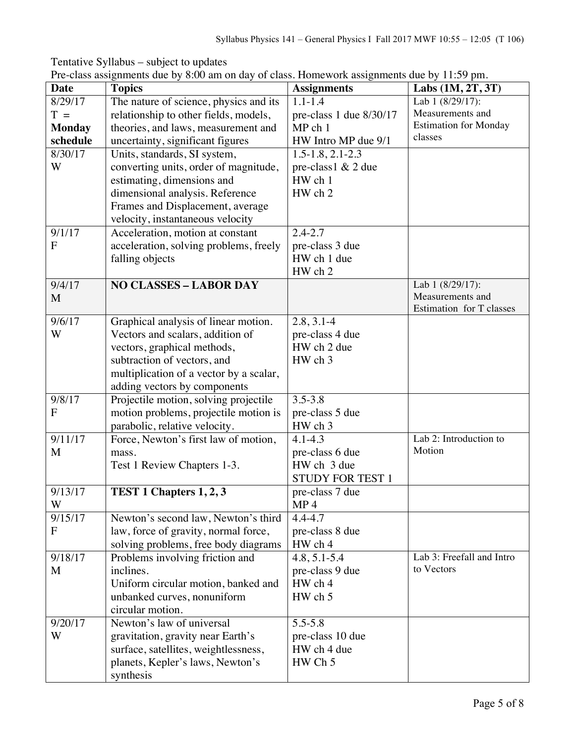Date Topics **Assignments** Labs (1M, 2T, 3T) 8/29/17  $T =$ **Monday schedule** The nature of science, physics and its relationship to other fields, models, theories, and laws, measurement and uncertainty, significant figures 1.1-1.4 pre-class 1 due 8/30/17 MP ch 1 HW Intro MP due 9/1 Lab 1 (8/29/17): Measurements and Estimation for Monday classes 8/30/17 W Units, standards, SI system, converting units, order of magnitude, estimating, dimensions and dimensional analysis. Reference Frames and Displacement, average velocity, instantaneous velocity  $1.5 - 1.8$ ,  $2.1 - 2.3$ pre-class1 & 2 due HW ch 1 HW ch 2 9/1/17 F Acceleration, motion at constant acceleration, solving problems, freely falling objects 2.4-2.7 pre-class 3 due HW ch 1 due HW ch 2 9/4/17 M **NO CLASSES – LABOR DAY** Lab 1 (8/29/17): Measurements and Estimation for T classes 9/6/17 W Graphical analysis of linear motion. Vectors and scalars, addition of vectors, graphical methods, subtraction of vectors, and multiplication of a vector by a scalar, adding vectors by components  $2.8, 3.1 - 4$ pre-class 4 due HW ch 2 due HW ch 3 9/8/17 F Projectile motion, solving projectile motion problems, projectile motion is parabolic, relative velocity. 3.5-3.8 pre-class 5 due HW ch 3 9/11/17 M Force, Newton's first law of motion, mass. Test 1 Review Chapters 1-3.  $4.1 - 4.3$ pre-class 6 due HW ch 3 due STUDY FOR TEST 1 Lab 2: Introduction to Motion 9/13/17 W **TEST 1 Chapters 1, 2, 3** pre-class 7 due MP 4 9/15/17  $\mathbf{F}$ Newton's second law, Newton's third law, force of gravity, normal force, solving problems, free body diagrams 4.4-4.7 pre-class 8 due HW ch 4 9/18/17 M Problems involving friction and inclines. Uniform circular motion, banked and unbanked curves, nonuniform circular motion. 4.8, 5.1-5.4 pre-class 9 due HW ch 4 HW ch 5 Lab 3: Freefall and Intro to Vectors 9/20/17 W Newton's law of universal gravitation, gravity near Earth's surface, satellites, weightlessness, planets, Kepler's laws, Newton's synthesis 5.5-5.8 pre-class 10 due HW ch 4 due HW Ch 5

Tentative Syllabus – subject to updates Pre-class assignments due by 8:00 am on day of class. Homework assignments due by 11:59 pm.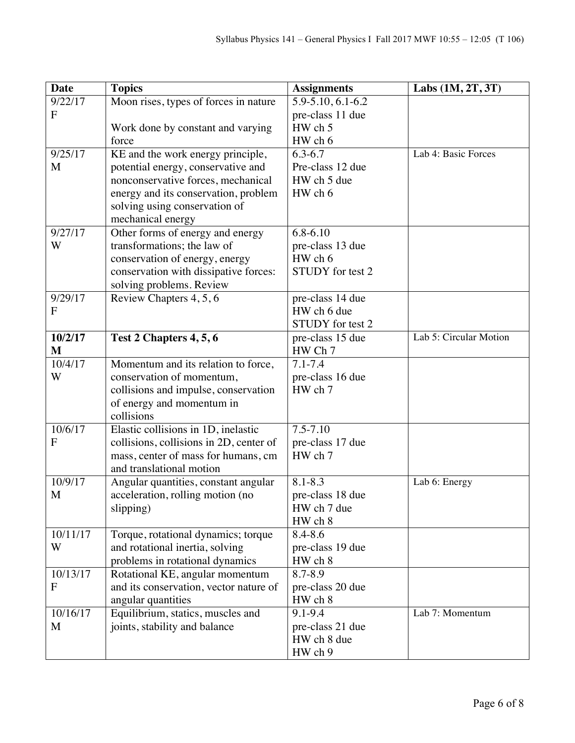| <b>Date</b>  | <b>Topics</b>                                                            | <b>Assignments</b> | Labs $(1M, 2T, 3T)$    |
|--------------|--------------------------------------------------------------------------|--------------------|------------------------|
| 9/22/17      | Moon rises, types of forces in nature                                    | 5.9-5.10, 6.1-6.2  |                        |
| F            |                                                                          | pre-class 11 due   |                        |
|              | Work done by constant and varying                                        | HW ch 5            |                        |
|              | force                                                                    | HW ch 6            |                        |
| 9/25/17      | KE and the work energy principle,                                        | $6.3 - 6.7$        | Lab 4: Basic Forces    |
| M            | potential energy, conservative and                                       | Pre-class 12 due   |                        |
|              | nonconservative forces, mechanical                                       | HW ch 5 due        |                        |
|              | energy and its conservation, problem                                     | HW ch 6            |                        |
|              | solving using conservation of                                            |                    |                        |
|              | mechanical energy                                                        |                    |                        |
| 9/27/17      | Other forms of energy and energy                                         | $6.8 - 6.10$       |                        |
| W            | transformations; the law of                                              | pre-class 13 due   |                        |
|              | conservation of energy, energy                                           | HW ch 6            |                        |
|              | conservation with dissipative forces:                                    | STUDY for test 2   |                        |
|              | solving problems. Review                                                 |                    |                        |
| 9/29/17      | Review Chapters 4, 5, 6                                                  | pre-class 14 due   |                        |
| F            |                                                                          | HW ch 6 due        |                        |
|              |                                                                          | STUDY for test 2   |                        |
| 10/2/17      | Test 2 Chapters 4, 5, 6                                                  | pre-class 15 due   | Lab 5: Circular Motion |
| M            |                                                                          | HW Ch 7            |                        |
| 10/4/17      | Momentum and its relation to force,                                      | $7.1 - 7.4$        |                        |
| W            | conservation of momentum,                                                | pre-class 16 due   |                        |
|              | collisions and impulse, conservation                                     | HW ch 7            |                        |
|              | of energy and momentum in                                                |                    |                        |
|              | collisions                                                               |                    |                        |
| 10/6/17<br>F | Elastic collisions in 1D, inelastic                                      | $7.5 - 7.10$       |                        |
|              | collisions, collisions in 2D, center of                                  | pre-class 17 due   |                        |
|              | mass, center of mass for humans, cm<br>and translational motion          | HW ch 7            |                        |
| 10/9/17      |                                                                          | $8.1 - 8.3$        | Lab 6: Energy          |
| M            | Angular quantities, constant angular<br>acceleration, rolling motion (no | pre-class 18 due   |                        |
|              | slipping)                                                                | HW ch 7 due        |                        |
|              |                                                                          | HW ch 8            |                        |
| 10/11/17     | Torque, rotational dynamics; torque                                      | $8.4 - 8.6$        |                        |
| W            | and rotational inertia, solving                                          | pre-class 19 due   |                        |
|              | problems in rotational dynamics                                          | HW ch 8            |                        |
| 10/13/17     | Rotational KE, angular momentum                                          | 8.7-8.9            |                        |
| F            | and its conservation, vector nature of                                   | pre-class 20 due   |                        |
|              | angular quantities                                                       | HW ch 8            |                        |
| 10/16/17     | Equilibrium, statics, muscles and                                        | 9.1-9.4            | Lab 7: Momentum        |
| M            | joints, stability and balance                                            | pre-class 21 due   |                        |
|              |                                                                          | HW ch 8 due        |                        |
|              |                                                                          | HW ch 9            |                        |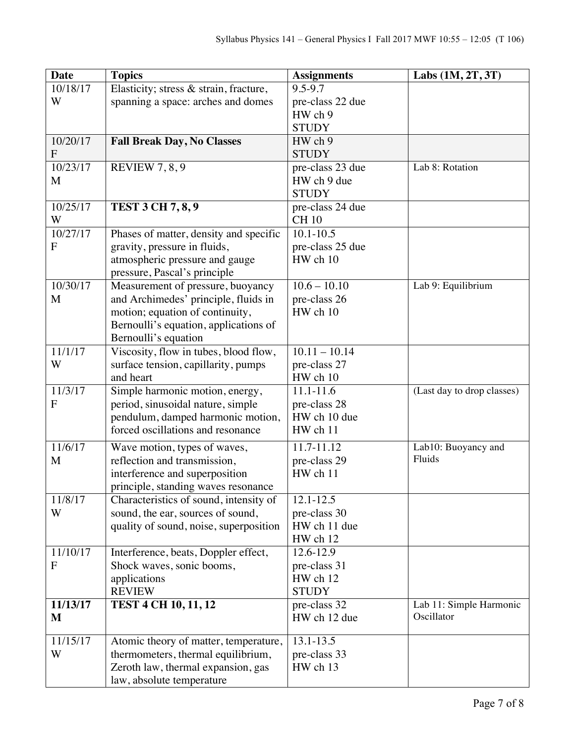| <b>Date</b>    | <b>Topics</b>                                                               | <b>Assignments</b>           | Labs $(1M, 2T, 3T)$           |
|----------------|-----------------------------------------------------------------------------|------------------------------|-------------------------------|
| 10/18/17       | Elasticity; stress & strain, fracture,                                      | 9.5-9.7                      |                               |
| W              | spanning a space: arches and domes                                          | pre-class 22 due             |                               |
|                |                                                                             | HW ch 9                      |                               |
|                |                                                                             | <b>STUDY</b>                 |                               |
| 10/20/17       | <b>Fall Break Day, No Classes</b>                                           | HW ch 9                      |                               |
| $\overline{F}$ |                                                                             | <b>STUDY</b>                 |                               |
| 10/23/17       | <b>REVIEW 7, 8, 9</b>                                                       | pre-class 23 due             | Lab 8: Rotation               |
| M              |                                                                             | HW ch 9 due                  |                               |
|                |                                                                             | <b>STUDY</b>                 |                               |
| 10/25/17       | <b>TEST 3 CH 7, 8, 9</b>                                                    | pre-class 24 due             |                               |
| W              |                                                                             | <b>CH 10</b>                 |                               |
| 10/27/17       | Phases of matter, density and specific                                      | $10.1 - 10.5$                |                               |
| F              | gravity, pressure in fluids,                                                | pre-class 25 due             |                               |
|                | atmospheric pressure and gauge                                              | HW ch 10                     |                               |
|                | pressure, Pascal's principle                                                |                              |                               |
| 10/30/17       | Measurement of pressure, buoyancy                                           | $10.6 - 10.10$               | Lab 9: Equilibrium            |
| M              | and Archimedes' principle, fluids in                                        | pre-class 26                 |                               |
|                | motion; equation of continuity,                                             | HW ch 10                     |                               |
|                | Bernoulli's equation, applications of                                       |                              |                               |
| 11/1/17        | Bernoulli's equation<br>Viscosity, flow in tubes, blood flow,               | $10.11 - 10.14$              |                               |
| W              |                                                                             | pre-class 27                 |                               |
|                | surface tension, capillarity, pumps<br>and heart                            | HW ch 10                     |                               |
| 11/3/17        | Simple harmonic motion, energy,                                             | $11.1 - 11.6$                | (Last day to drop classes)    |
| F              | period, sinusoidal nature, simple                                           | pre-class 28                 |                               |
|                | pendulum, damped harmonic motion,                                           | HW ch 10 due                 |                               |
|                | forced oscillations and resonance                                           | HW ch 11                     |                               |
|                |                                                                             |                              |                               |
| 11/6/17        | Wave motion, types of waves,                                                | 11.7-11.12                   | Lab10: Buoyancy and<br>Fluids |
| M              | reflection and transmission,                                                | pre-class 29                 |                               |
|                | interference and superposition                                              | HW ch 11                     |                               |
|                | principle, standing waves resonance                                         |                              |                               |
| 11/8/17<br>W   | Characteristics of sound, intensity of                                      | 12.1-12.5                    |                               |
|                | sound, the ear, sources of sound,<br>quality of sound, noise, superposition | pre-class 30<br>HW ch 11 due |                               |
|                |                                                                             | HW ch 12                     |                               |
| 11/10/17       | Interference, beats, Doppler effect,                                        | 12.6-12.9                    |                               |
| F              | Shock waves, sonic booms,                                                   | pre-class 31                 |                               |
|                | applications                                                                | HW ch 12                     |                               |
|                | <b>REVIEW</b>                                                               | <b>STUDY</b>                 |                               |
| 11/13/17       | <b>TEST 4 CH 10, 11, 12</b>                                                 | pre-class 32                 | Lab 11: Simple Harmonic       |
| M              |                                                                             | HW ch 12 due                 | Oscillator                    |
|                |                                                                             |                              |                               |
| 11/15/17       | Atomic theory of matter, temperature,                                       | 13.1-13.5                    |                               |
| W              | thermometers, thermal equilibrium,                                          | pre-class 33                 |                               |
|                | Zeroth law, thermal expansion, gas                                          | HW ch 13                     |                               |
|                | law, absolute temperature                                                   |                              |                               |